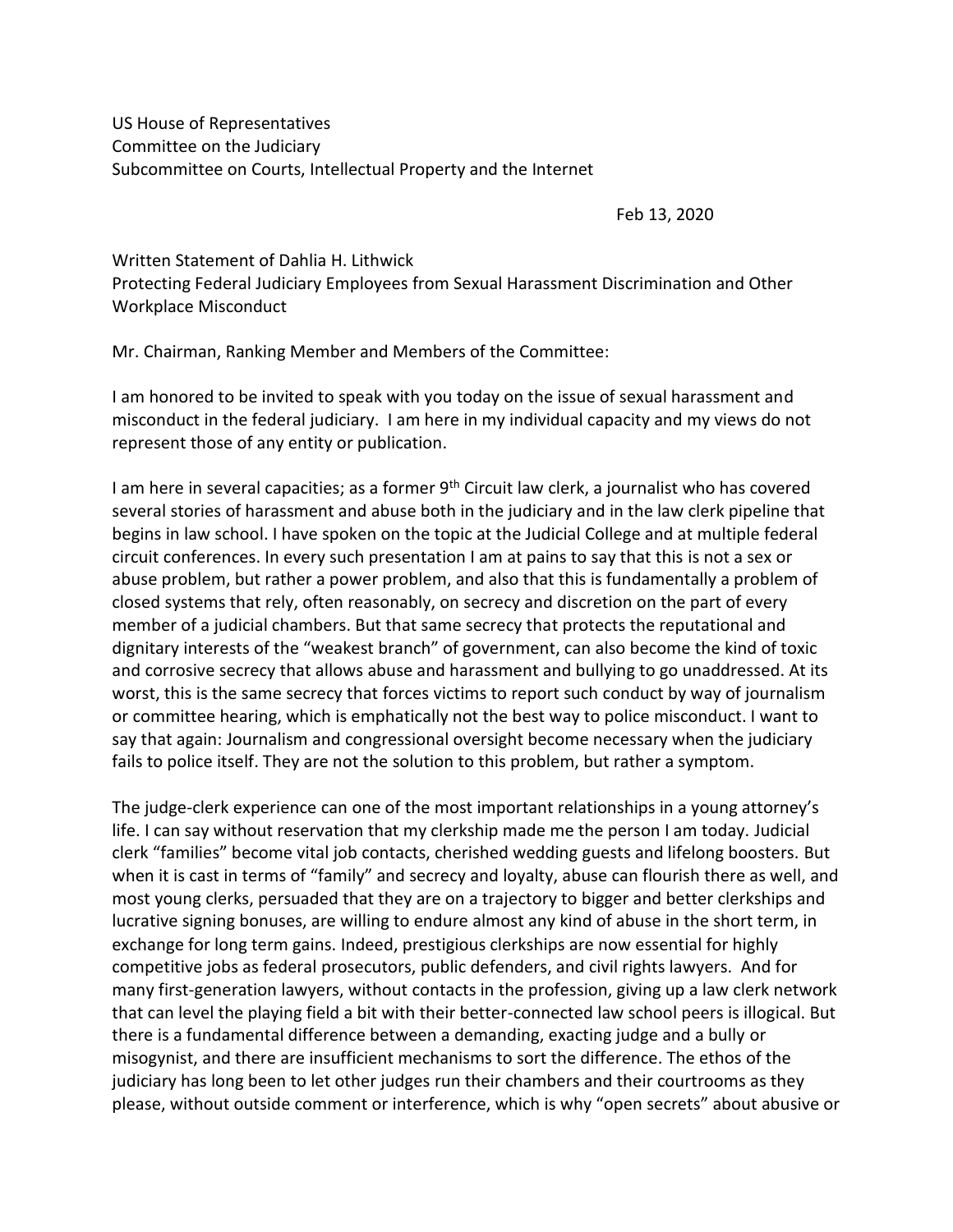US House of Representatives Committee on the Judiciary Subcommittee on Courts, Intellectual Property and the Internet

Feb 13, 2020

Written Statement of Dahlia H. Lithwick Protecting Federal Judiciary Employees from Sexual Harassment Discrimination and Other Workplace Misconduct

Mr. Chairman, Ranking Member and Members of the Committee:

I am honored to be invited to speak with you today on the issue of sexual harassment and misconduct in the federal judiciary. I am here in my individual capacity and my views do not represent those of any entity or publication.

I am here in several capacities; as a former 9<sup>th</sup> Circuit law clerk, a journalist who has covered several stories of harassment and abuse both in the judiciary and in the law clerk pipeline that begins in law school. I have spoken on the topic at the Judicial College and at multiple federal circuit conferences. In every such presentation I am at pains to say that this is not a sex or abuse problem, but rather a power problem, and also that this is fundamentally a problem of closed systems that rely, often reasonably, on secrecy and discretion on the part of every member of a judicial chambers. But that same secrecy that protects the reputational and dignitary interests of the "weakest branch" of government, can also become the kind of toxic and corrosive secrecy that allows abuse and harassment and bullying to go unaddressed. At its worst, this is the same secrecy that forces victims to report such conduct by way of journalism or committee hearing, which is emphatically not the best way to police misconduct. I want to say that again: Journalism and congressional oversight become necessary when the judiciary fails to police itself. They are not the solution to this problem, but rather a symptom.

The judge-clerk experience can one of the most important relationships in a young attorney's life. I can say without reservation that my clerkship made me the person I am today. Judicial clerk "families" become vital job contacts, cherished wedding guests and lifelong boosters. But when it is cast in terms of "family" and secrecy and loyalty, abuse can flourish there as well, and most young clerks, persuaded that they are on a trajectory to bigger and better clerkships and lucrative signing bonuses, are willing to endure almost any kind of abuse in the short term, in exchange for long term gains. Indeed, prestigious clerkships are now essential for highly competitive jobs as federal prosecutors, public defenders, and civil rights lawyers. And for many first-generation lawyers, without contacts in the profession, giving up a law clerk network that can level the playing field a bit with their better-connected law school peers is illogical. But there is a fundamental difference between a demanding, exacting judge and a bully or misogynist, and there are insufficient mechanisms to sort the difference. The ethos of the judiciary has long been to let other judges run their chambers and their courtrooms as they please, without outside comment or interference, which is why "open secrets" about abusive or